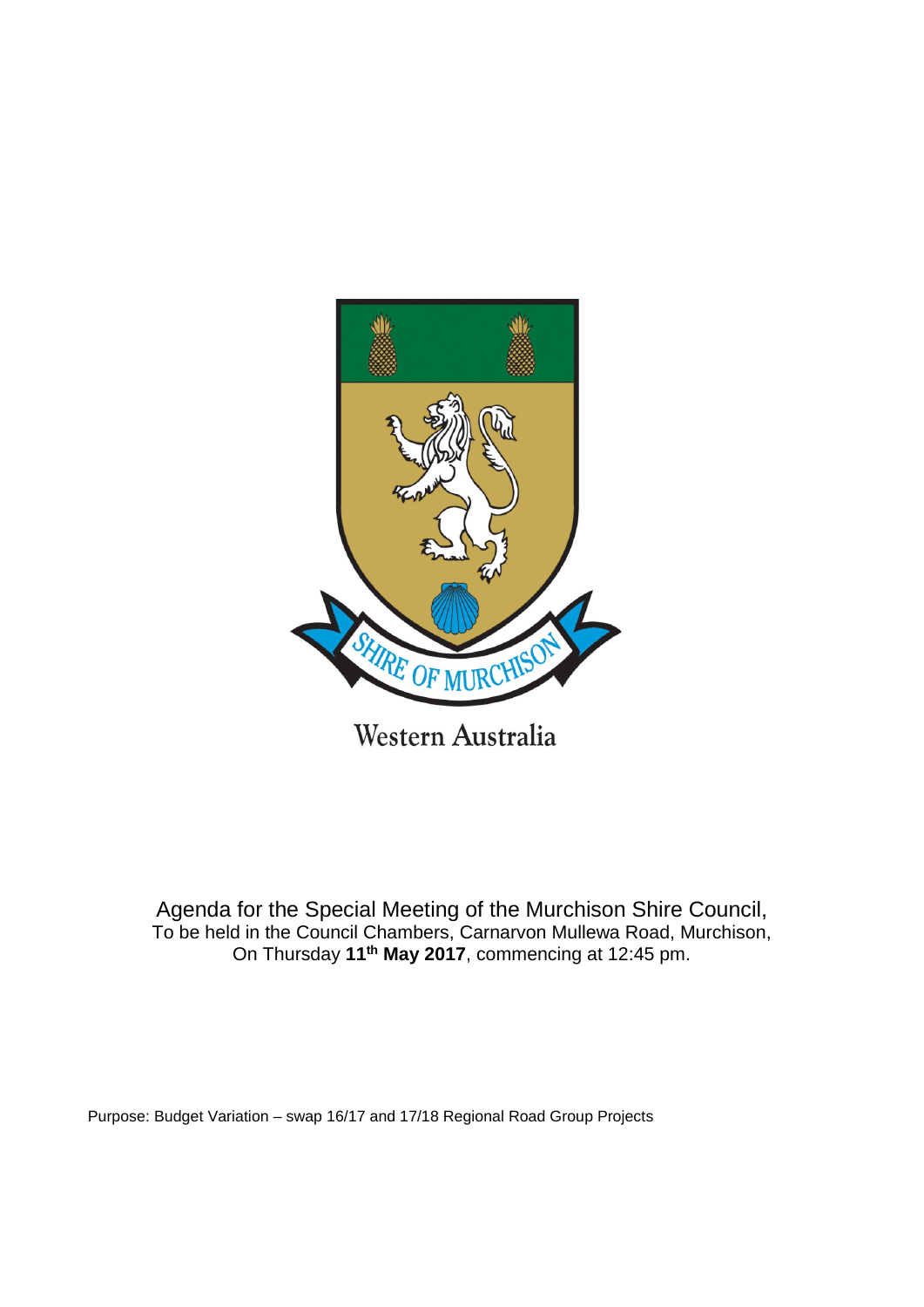

Agenda for the Special Meeting of the Murchison Shire Council,

To be held in the Council Chambers, Carnarvon Mullewa Road, Murchison, On Thursday **11th May 2017**, commencing at 12:45 pm.

Purpose: Budget Variation – swap 16/17 and 17/18 Regional Road Group Projects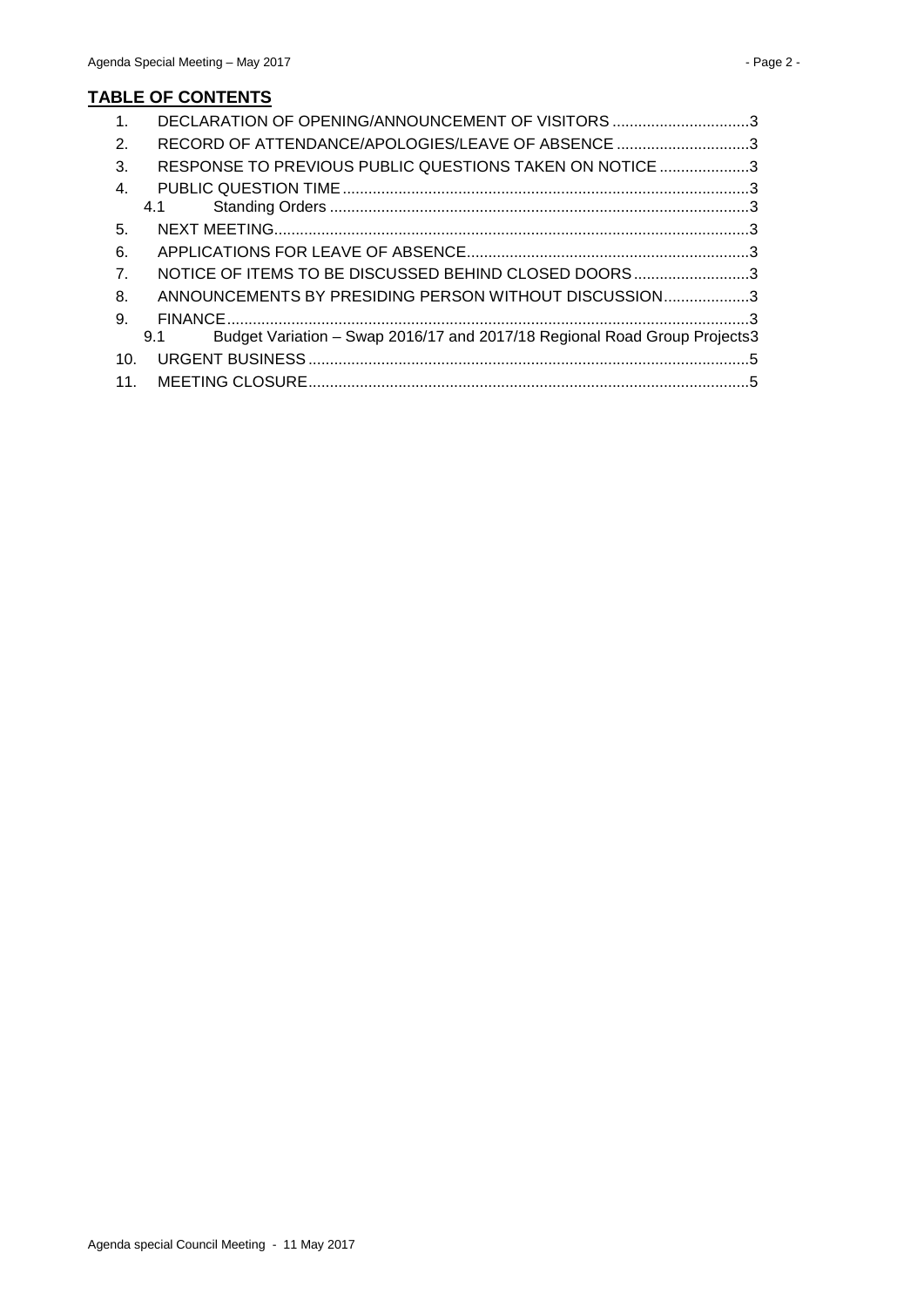| $\mathbf{1}$ .   | DECLARATION OF OPENING/ANNOUNCEMENT OF VISITORS 3                                |  |
|------------------|----------------------------------------------------------------------------------|--|
| 2.               | RECORD OF ATTENDANCE/APOLOGIES/LEAVE OF ABSENCE 3                                |  |
| 3.               | RESPONSE TO PREVIOUS PUBLIC QUESTIONS TAKEN ON NOTICE 3                          |  |
| $\mathbf{4}$ .   |                                                                                  |  |
|                  | 4.1                                                                              |  |
| 5.               |                                                                                  |  |
| 6.               |                                                                                  |  |
| $\overline{7}$ . | NOTICE OF ITEMS TO BE DISCUSSED BEHIND CLOSED DOORS3                             |  |
| 8.               | ANNOUNCEMENTS BY PRESIDING PERSON WITHOUT DISCUSSION3                            |  |
| 9.               |                                                                                  |  |
|                  | Budget Variation - Swap 2016/17 and 2017/18 Regional Road Group Projects3<br>9.1 |  |
| 10 <sub>1</sub>  |                                                                                  |  |
| 11 <sub>1</sub>  |                                                                                  |  |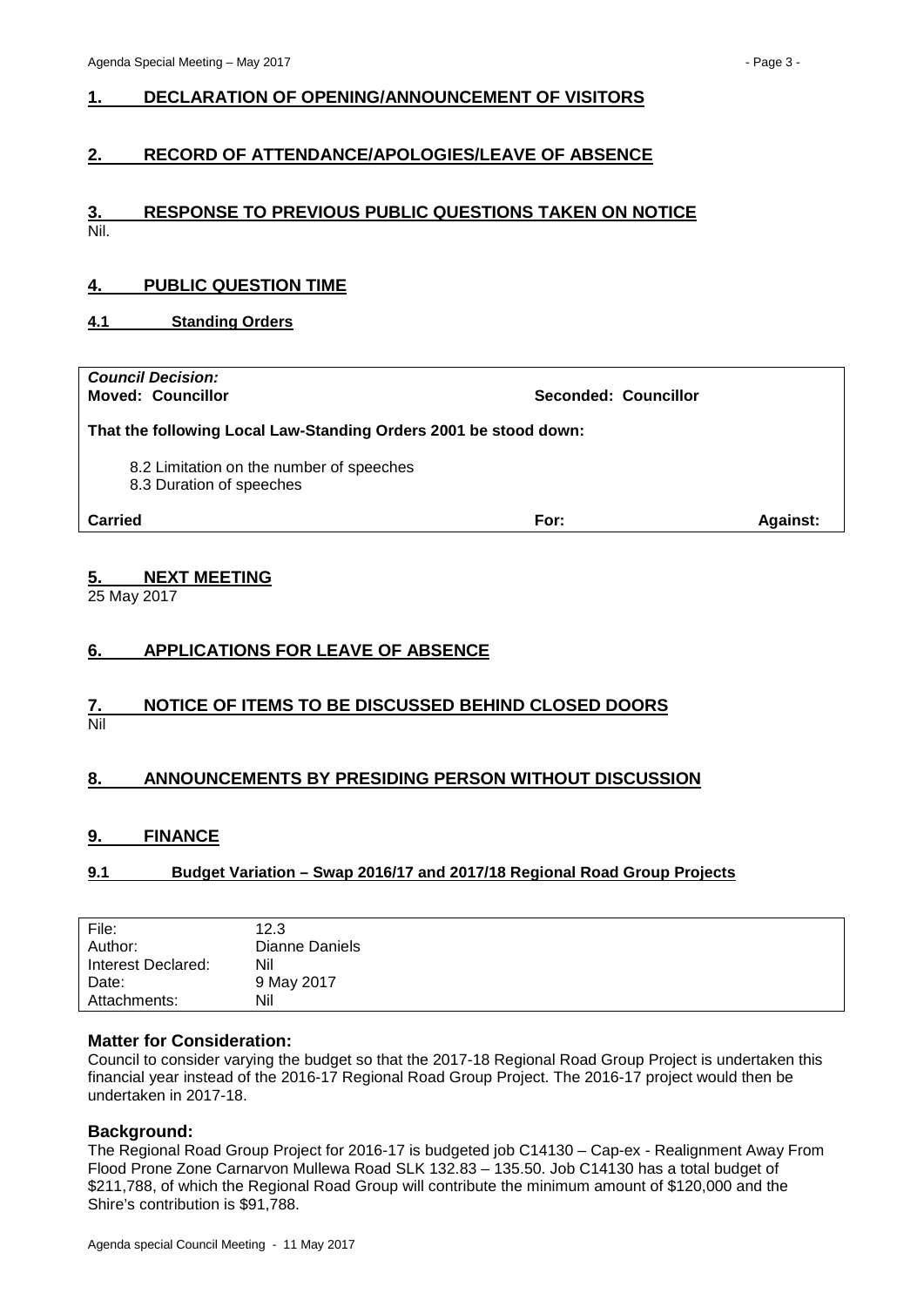# <span id="page-2-0"></span>**1. DECLARATION OF OPENING/ANNOUNCEMENT OF VISITORS**

# <span id="page-2-1"></span>**2. RECORD OF ATTENDANCE/APOLOGIES/LEAVE OF ABSENCE**

#### <span id="page-2-2"></span>**3. RESPONSE TO PREVIOUS PUBLIC QUESTIONS TAKEN ON NOTICE** Nil.

## <span id="page-2-3"></span>**4. PUBLIC QUESTION TIME**

#### <span id="page-2-4"></span>**4.1 Standing Orders**

# *Council Decision:*

**Moved: Councillor Seconded: Councillor**

**That the following Local Law-Standing Orders 2001 be stood down:**

- 8.2 Limitation on the number of speeches
- 8.3 Duration of speeches

**Carried For: Against:**

#### <span id="page-2-5"></span>**5. NEXT MEETING**

25 May 2017

# <span id="page-2-6"></span>**6. APPLICATIONS FOR LEAVE OF ABSENCE**

#### <span id="page-2-7"></span>**7. NOTICE OF ITEMS TO BE DISCUSSED BEHIND CLOSED DOORS** Nil

# <span id="page-2-8"></span>**8. ANNOUNCEMENTS BY PRESIDING PERSON WITHOUT DISCUSSION**

#### <span id="page-2-9"></span>**9. FINANCE**

#### <span id="page-2-10"></span>**9.1 Budget Variation – Swap 2016/17 and 2017/18 Regional Road Group Projects**

| File:              | 12.3           |
|--------------------|----------------|
| Author:            | Dianne Daniels |
| Interest Declared: | Nil            |
| Date:              | 9 May 2017     |
| Attachments:       | Nil            |

#### **Matter for Consideration:**

Council to consider varying the budget so that the 2017-18 Regional Road Group Project is undertaken this financial year instead of the 2016-17 Regional Road Group Project. The 2016-17 project would then be undertaken in 2017-18.

#### **Background:**

The Regional Road Group Project for 2016-17 is budgeted job C14130 – Cap-ex - Realignment Away From Flood Prone Zone Carnarvon Mullewa Road SLK 132.83 – 135.50. Job C14130 has a total budget of \$211,788, of which the Regional Road Group will contribute the minimum amount of \$120,000 and the Shire's contribution is \$91,788.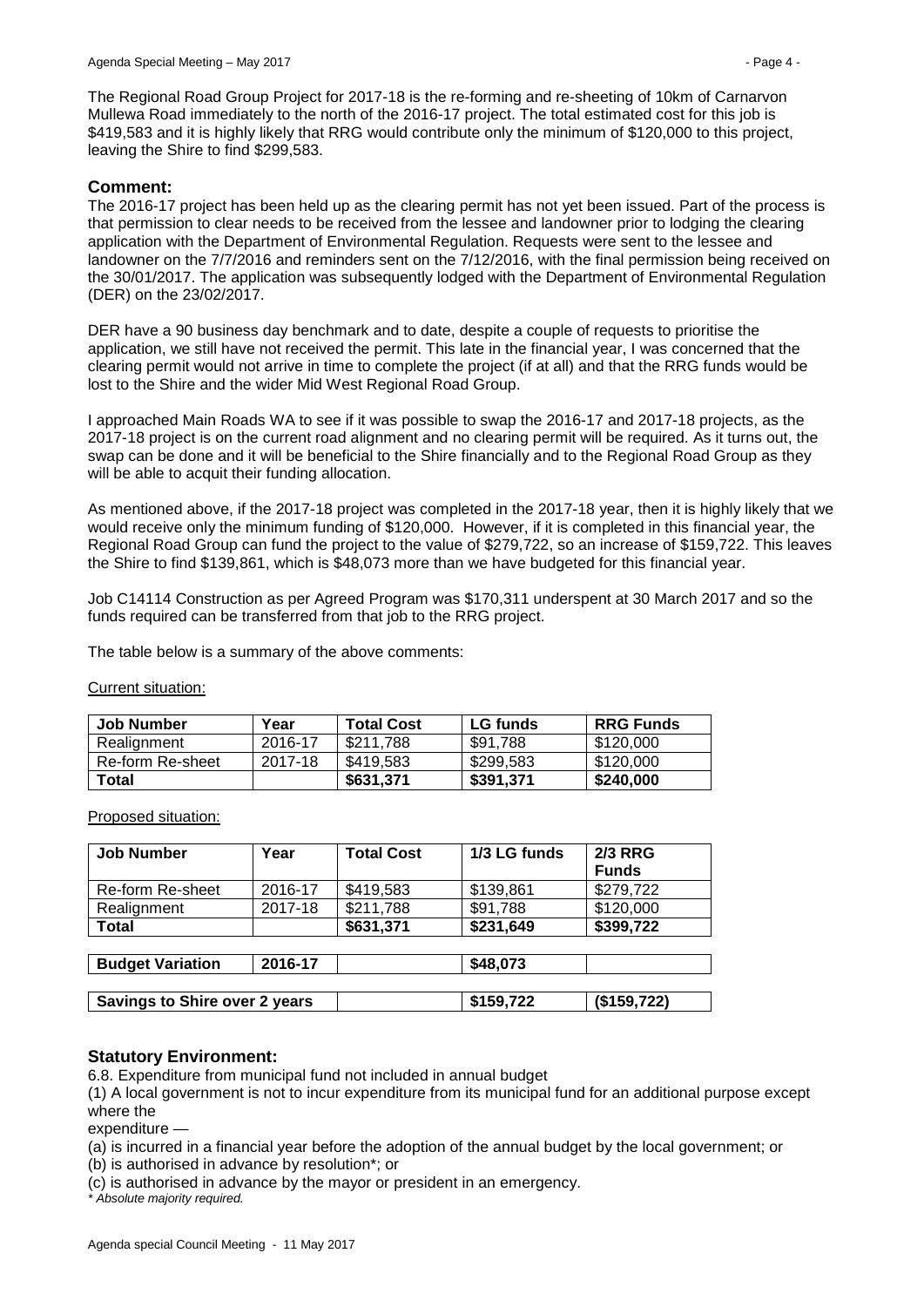The Regional Road Group Project for 2017-18 is the re-forming and re-sheeting of 10km of Carnarvon Mullewa Road immediately to the north of the 2016-17 project. The total estimated cost for this job is \$419,583 and it is highly likely that RRG would contribute only the minimum of \$120,000 to this project, leaving the Shire to find \$299,583.

## **Comment:**

The 2016-17 project has been held up as the clearing permit has not yet been issued. Part of the process is that permission to clear needs to be received from the lessee and landowner prior to lodging the clearing application with the Department of Environmental Regulation. Requests were sent to the lessee and landowner on the 7/7/2016 and reminders sent on the 7/12/2016, with the final permission being received on the 30/01/2017. The application was subsequently lodged with the Department of Environmental Regulation (DER) on the 23/02/2017.

DER have a 90 business day benchmark and to date, despite a couple of requests to prioritise the application, we still have not received the permit. This late in the financial year, I was concerned that the clearing permit would not arrive in time to complete the project (if at all) and that the RRG funds would be lost to the Shire and the wider Mid West Regional Road Group.

I approached Main Roads WA to see if it was possible to swap the 2016-17 and 2017-18 projects, as the 2017-18 project is on the current road alignment and no clearing permit will be required. As it turns out, the swap can be done and it will be beneficial to the Shire financially and to the Regional Road Group as they will be able to acquit their funding allocation.

As mentioned above, if the 2017-18 project was completed in the 2017-18 year, then it is highly likely that we would receive only the minimum funding of \$120,000. However, if it is completed in this financial year, the Regional Road Group can fund the project to the value of \$279,722, so an increase of \$159,722. This leaves the Shire to find \$139,861, which is \$48,073 more than we have budgeted for this financial year.

Job C14114 Construction as per Agreed Program was \$170,311 underspent at 30 March 2017 and so the funds required can be transferred from that job to the RRG project.

The table below is a summary of the above comments:

|--|

| Job Number       | Year    | <b>Total Cost</b> | <b>LG</b> funds | <b>RRG Funds</b> |
|------------------|---------|-------------------|-----------------|------------------|
| Realignment      | 2016-17 | \$211.788         | \$91.788        | \$120,000        |
| Re-form Re-sheet | 2017-18 | \$419.583         | \$299.583       | \$120,000        |
| Total            |         | \$631,371         | \$391,371       | \$240,000        |

Proposed situation:

| <b>Job Number</b>                    | Year    | <b>Total Cost</b> | 1/3 LG funds | <b>2/3 RRG</b> |
|--------------------------------------|---------|-------------------|--------------|----------------|
|                                      |         |                   |              | <b>Funds</b>   |
| Re-form Re-sheet                     | 2016-17 | \$419,583         | \$139,861    | \$279,722      |
| Realignment                          | 2017-18 | \$211,788         | \$91,788     | \$120,000      |
| <b>Total</b>                         |         | \$631,371         | \$231,649    | \$399,722      |
|                                      |         |                   |              |                |
| 2016-17<br><b>Budget Variation</b>   |         |                   | \$48,073     |                |
|                                      |         |                   |              |                |
| <b>Savings to Shire over 2 years</b> |         |                   | \$159,722    | (\$159,722)    |

#### **Statutory Environment:**

6.8. Expenditure from municipal fund not included in annual budget

(1) A local government is not to incur expenditure from its municipal fund for an additional purpose except where the

expenditure -

(a) is incurred in a financial year before the adoption of the annual budget by the local government; or

(b) is authorised in advance by resolution\*; or

(c) is authorised in advance by the mayor or president in an emergency.

*\* Absolute majority required.*